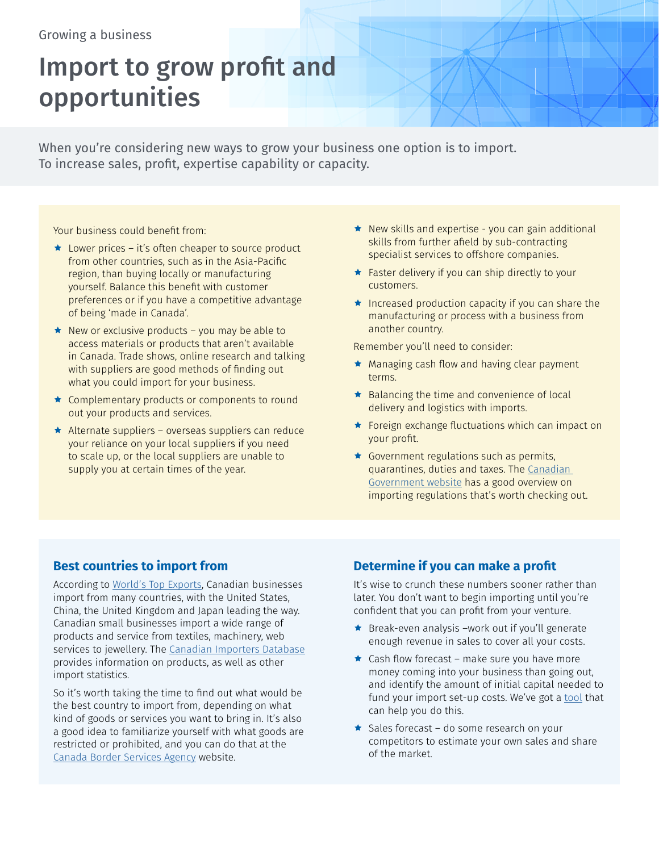### Growing a business

# Import to grow profit and opportunities

When you're considering new ways to grow your business one option is to import. To increase sales, profit, expertise capability or capacity.

Your business could benefit from:

- $\star$  Lower prices it's often cheaper to source product from other countries, such as in the Asia-Pacific region, than buying locally or manufacturing yourself. Balance this benefit with customer preferences or if you have a competitive advantage of being 'made in Canada'.
- $\star$  New or exclusive products you may be able to access materials or products that aren't available in Canada. Trade shows, online research and talking with suppliers are good methods of finding out what you could import for your business.
- $\star$  Complementary products or components to round out your products and services.
- $\star$  Alternate suppliers overseas suppliers can reduce your reliance on your local suppliers if you need to scale up, or the local suppliers are unable to supply you at certain times of the year.
- $\star$  New skills and expertise you can gain additional skills from further afield by sub-contracting specialist services to offshore companies.
- $\star$  Faster delivery if you can ship directly to your customers.
- $\star$  Increased production capacity if you can share the manufacturing or process with a business from another country.

Remember you'll need to consider:

- $\star$  Managing cash flow and having clear payment terms.
- $\star$  Balancing the time and convenience of local delivery and logistics with imports.
- ★ Foreign exchange fluctuations which can impact on your profit.
- $\star$  Government regulations such as permits, quarantines, duties and taxes. The [Canadian](https://www.canada.ca/en/services/business/trade/import.html)  [Government website](https://www.canada.ca/en/services/business/trade/import.html) has a good overview on importing regulations that's worth checking out.

#### **Best countries to import from**

According to [World's Top Exports](http://www.worldstopexports.com/canadas-top-import-partners/), Canadian businesses import from many countries, with the United States, China, the United Kingdom and Japan leading the way. Canadian small businesses import a wide range of products and service from textiles, machinery, web services to jewellery. The [Canadian Importers Database](https://www.ic.gc.ca/app/scr/ic/sbms/cid/searchProduct.html?lang=eng) provides information on products, as well as other import statistics.

So it's worth taking the time to find out what would be the best country to import from, depending on what kind of goods or services you want to bring in. It's also a good idea to familiarize yourself with what goods are restricted or prohibited, and you can do that at the [Canada Border Services Agency](http://www.cbsa-asfc.gc.ca/publications/dm-md/d9-eng.html) website.

## **Determine if you can make a profit**

It's wise to crunch these numbers sooner rather than later. You don't want to begin importing until you're confident that you can profit from your venture.

- $\bigstar$  Break-even analysis –work out if you'll generate enough revenue in sales to cover all your costs.
- $\star$  Cash flow forecast make sure you have more money coming into your business than going out, and identify the amount of initial capital needed to fund your import set-up costs. We've got a [tool](http://www.rbcroyalbank.com/RBC:tXbClawYUBEA8wD6wywAAAAz/cgi-bin/business/cashflow/start.cgi) that can help you do this.
- $\star$  Sales forecast do some research on your competitors to estimate your own sales and share of the market.